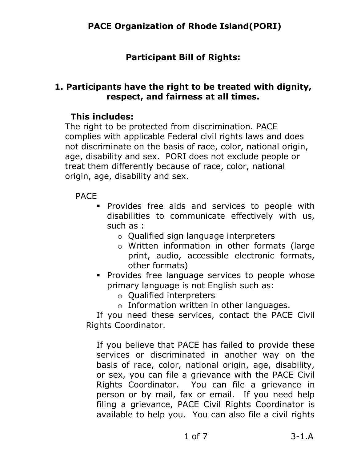# **Participant Bill of Rights:**

### **1. Participants have the right to be treated with dignity, respect, and fairness at all times.**

### **This includes:**

The right to be protected from discrimination. PACE complies with applicable Federal civil rights laws and does not discriminate on the basis of race, color, national origin, age, disability and sex. PORI does not exclude people or treat them differently because of race, color, national origin, age, disability and sex.

PACE

- Provides free aids and services to people with disabilities to communicate effectively with us, such as :
	- o Qualified sign language interpreters
	- o Written information in other formats (large print, audio, accessible electronic formats, other formats)
- **Provides free language services to people whose** primary language is not English such as:
	- o Qualified interpreters
	- o Information written in other languages.

 If you need these services, contact the PACE Civil Rights Coordinator.

If you believe that PACE has failed to provide these services or discriminated in another way on the basis of race, color, national origin, age, disability, or sex, you can file a grievance with the PACE Civil Rights Coordinator. You can file a grievance in person or by mail, fax or email. If you need help filing a grievance, PACE Civil Rights Coordinator is available to help you. You can also file a civil rights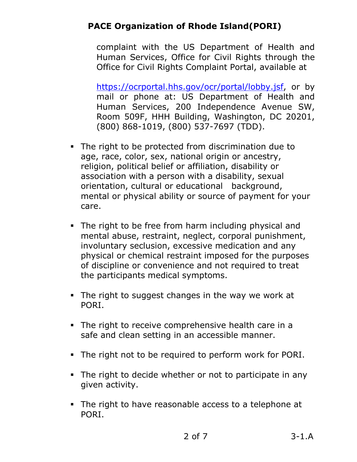complaint with the US Department of Health and Human Services, Office for Civil Rights through the Office for Civil Rights Complaint Portal, available at

[https://ocrportal.hhs.gov/ocr/portal/lobby.jsf,](https://ocrportal.hhs.gov/ocr/portal/lobby.jsf) or by mail or phone at: US Department of Health and Human Services, 200 Independence Avenue SW, Room 509F, HHH Building, Washington, DC 20201, (800) 868-1019, (800) 537-7697 (TDD).

- The right to be protected from discrimination due to age, race, color, sex, national origin or ancestry, religion, political belief or affiliation, disability or association with a person with a disability, sexual orientation, cultural or educational background, mental or physical ability or source of payment for your care.
- The right to be free from harm including physical and mental abuse, restraint, neglect, corporal punishment, involuntary seclusion, excessive medication and any physical or chemical restraint imposed for the purposes of discipline or convenience and not required to treat the participants medical symptoms.
- The right to suggest changes in the way we work at PORI.
- The right to receive comprehensive health care in a safe and clean setting in an accessible manner.
- The right not to be required to perform work for PORI.
- The right to decide whether or not to participate in any given activity.
- The right to have reasonable access to a telephone at PORI.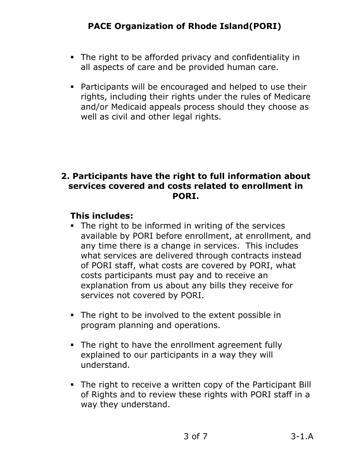- The right to be afforded privacy and confidentiality in all aspects of care and be provided human care.
- Participants will be encouraged and helped to use their rights, including their rights under the rules of Medicare and/or Medicaid appeals process should they choose as well as civil and other legal rights.

#### **2. Participants have the right to full information about services covered and costs related to enrollment in PORI.**

- The right to be informed in writing of the services available by PORI before enrollment, at enrollment, and any time there is a change in services. This includes what services are delivered through contracts instead of PORI staff, what costs are covered by PORI, what costs participants must pay and to receive an explanation from us about any bills they receive for services not covered by PORI.
- The right to be involved to the extent possible in program planning and operations.
- The right to have the enrollment agreement fully explained to our participants in a way they will understand.
- The right to receive a written copy of the Participant Bill of Rights and to review these rights with PORI staff in a way they understand.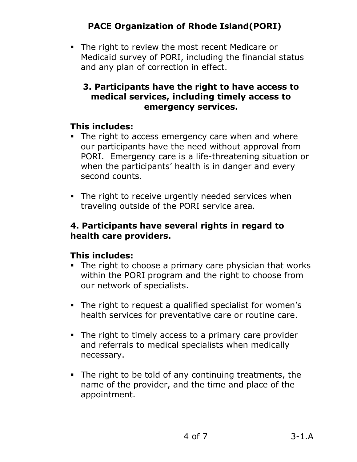The right to review the most recent Medicare or Medicaid survey of PORI, including the financial status and any plan of correction in effect.

### **3. Participants have the right to have access to medical services, including timely access to emergency services.**

## **This includes:**

- The right to access emergency care when and where our participants have the need without approval from PORI. Emergency care is a life-threatening situation or when the participants' health is in danger and every second counts.
- The right to receive urgently needed services when traveling outside of the PORI service area.

### **4. Participants have several rights in regard to health care providers.**

- The right to choose a primary care physician that works within the PORI program and the right to choose from our network of specialists.
- The right to request a qualified specialist for women's health services for preventative care or routine care.
- The right to timely access to a primary care provider and referrals to medical specialists when medically necessary.
- The right to be told of any continuing treatments, the name of the provider, and the time and place of the appointment.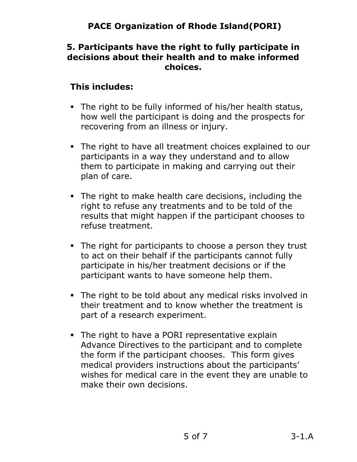#### **5. Participants have the right to fully participate in decisions about their health and to make informed choices.**

- The right to be fully informed of his/her health status, how well the participant is doing and the prospects for recovering from an illness or injury.
- The right to have all treatment choices explained to our participants in a way they understand and to allow them to participate in making and carrying out their plan of care.
- The right to make health care decisions, including the right to refuse any treatments and to be told of the results that might happen if the participant chooses to refuse treatment.
- The right for participants to choose a person they trust to act on their behalf if the participants cannot fully participate in his/her treatment decisions or if the participant wants to have someone help them.
- The right to be told about any medical risks involved in their treatment and to know whether the treatment is part of a research experiment.
- The right to have a PORI representative explain Advance Directives to the participant and to complete the form if the participant chooses. This form gives medical providers instructions about the participants' wishes for medical care in the event they are unable to make their own decisions.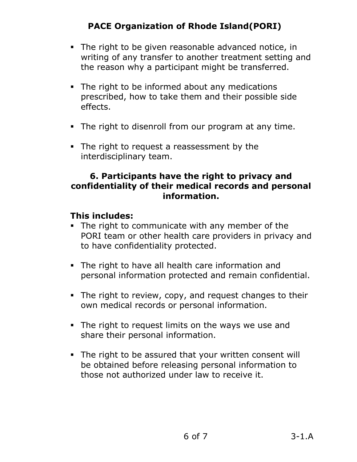- The right to be given reasonable advanced notice, in writing of any transfer to another treatment setting and the reason why a participant might be transferred.
- The right to be informed about any medications prescribed, how to take them and their possible side effects.
- The right to disenroll from our program at any time.
- The right to request a reassessment by the interdisciplinary team.

#### **6. Participants have the right to privacy and confidentiality of their medical records and personal information.**

- The right to communicate with any member of the PORI team or other health care providers in privacy and to have confidentiality protected.
- The right to have all health care information and personal information protected and remain confidential.
- The right to review, copy, and request changes to their own medical records or personal information.
- The right to request limits on the ways we use and share their personal information.
- The right to be assured that your written consent will be obtained before releasing personal information to those not authorized under law to receive it.